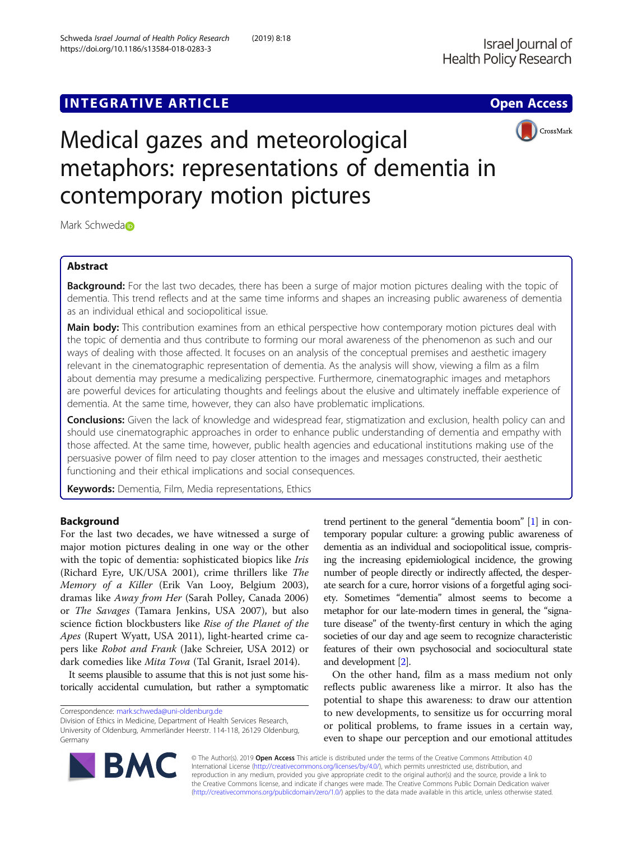

# Medical gazes and meteorological metaphors: representations of dementia in contemporary motion pictures

Mark Schweda<sup>b</sup>

# Abstract

**Background:** For the last two decades, there has been a surge of major motion pictures dealing with the topic of dementia. This trend reflects and at the same time informs and shapes an increasing public awareness of dementia as an individual ethical and sociopolitical issue.

Main body: This contribution examines from an ethical perspective how contemporary motion pictures deal with the topic of dementia and thus contribute to forming our moral awareness of the phenomenon as such and our ways of dealing with those affected. It focuses on an analysis of the conceptual premises and aesthetic imagery relevant in the cinematographic representation of dementia. As the analysis will show, viewing a film as a film about dementia may presume a medicalizing perspective. Furthermore, cinematographic images and metaphors are powerful devices for articulating thoughts and feelings about the elusive and ultimately ineffable experience of dementia. At the same time, however, they can also have problematic implications.

**Conclusions:** Given the lack of knowledge and widespread fear, stigmatization and exclusion, health policy can and should use cinematographic approaches in order to enhance public understanding of dementia and empathy with those affected. At the same time, however, public health agencies and educational institutions making use of the persuasive power of film need to pay closer attention to the images and messages constructed, their aesthetic functioning and their ethical implications and social consequences.

Keywords: Dementia, Film, Media representations, Ethics

# Background

For the last two decades, we have witnessed a surge of major motion pictures dealing in one way or the other with the topic of dementia: sophisticated biopics like *Iris* (Richard Eyre, UK/USA 2001), crime thrillers like The Memory of a Killer (Erik Van Looy, Belgium 2003), dramas like Away from Her (Sarah Polley, Canada 2006) or The Savages (Tamara Jenkins, USA 2007), but also science fiction blockbusters like Rise of the Planet of the Apes (Rupert Wyatt, USA 2011), light-hearted crime capers like Robot and Frank (Jake Schreier, USA 2012) or dark comedies like Mita Tova (Tal Granit, Israel 2014).

It seems plausible to assume that this is not just some historically accidental cumulation, but rather a symptomatic



On the other hand, film as a mass medium not only reflects public awareness like a mirror. It also has the potential to shape this awareness: to draw our attention to new developments, to sensitize us for occurring moral or political problems, to frame issues in a certain way, even to shape our perception and our emotional attitudes



© The Author(s). 2019 Open Access This article is distributed under the terms of the Creative Commons Attribution 4.0 International License [\(http://creativecommons.org/licenses/by/4.0/](http://creativecommons.org/licenses/by/4.0/)), which permits unrestricted use, distribution, and reproduction in any medium, provided you give appropriate credit to the original author(s) and the source, provide a link to the Creative Commons license, and indicate if changes were made. The Creative Commons Public Domain Dedication waiver [\(http://creativecommons.org/publicdomain/zero/1.0/](http://creativecommons.org/publicdomain/zero/1.0/)) applies to the data made available in this article, unless otherwise stated.

Correspondence: [mark.schweda@uni-oldenburg.de](mailto:mark.schweda@uni-oldenburg.de)

Division of Ethics in Medicine, Department of Health Services Research, University of Oldenburg, Ammerländer Heerstr. 114-118, 26129 Oldenburg, Germany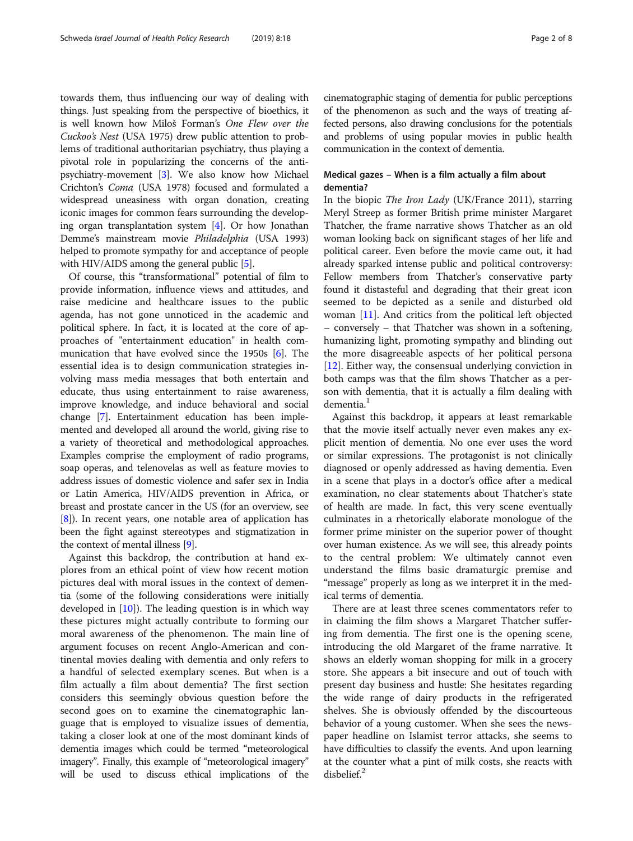towards them, thus influencing our way of dealing with things. Just speaking from the perspective of bioethics, it is well known how Miloš Forman's One Flew over the Cuckoo's Nest (USA 1975) drew public attention to problems of traditional authoritarian psychiatry, thus playing a pivotal role in popularizing the concerns of the antipsychiatry-movement [[3\]](#page-6-0). We also know how Michael Crichton's Coma (USA 1978) focused and formulated a widespread uneasiness with organ donation, creating iconic images for common fears surrounding the developing organ transplantation system [\[4\]](#page-6-0). Or how Jonathan Demme's mainstream movie Philadelphia (USA 1993) helped to promote sympathy for and acceptance of people with HIV/AIDS among the general public [[5](#page-6-0)].

Of course, this "transformational" potential of film to provide information, influence views and attitudes, and raise medicine and healthcare issues to the public agenda, has not gone unnoticed in the academic and political sphere. In fact, it is located at the core of approaches of "entertainment education" in health communication that have evolved since the 1950s [[6\]](#page-6-0). The essential idea is to design communication strategies involving mass media messages that both entertain and educate, thus using entertainment to raise awareness, improve knowledge, and induce behavioral and social change [\[7\]](#page-6-0). Entertainment education has been implemented and developed all around the world, giving rise to a variety of theoretical and methodological approaches. Examples comprise the employment of radio programs, soap operas, and telenovelas as well as feature movies to address issues of domestic violence and safer sex in India or Latin America, HIV/AIDS prevention in Africa, or breast and prostate cancer in the US (for an overview, see [[8\]](#page-6-0)). In recent years, one notable area of application has been the fight against stereotypes and stigmatization in the context of mental illness [\[9](#page-7-0)].

Against this backdrop, the contribution at hand explores from an ethical point of view how recent motion pictures deal with moral issues in the context of dementia (some of the following considerations were initially developed in [\[10](#page-7-0)]). The leading question is in which way these pictures might actually contribute to forming our moral awareness of the phenomenon. The main line of argument focuses on recent Anglo-American and continental movies dealing with dementia and only refers to a handful of selected exemplary scenes. But when is a film actually a film about dementia? The first section considers this seemingly obvious question before the second goes on to examine the cinematographic language that is employed to visualize issues of dementia, taking a closer look at one of the most dominant kinds of dementia images which could be termed "meteorological imagery". Finally, this example of "meteorological imagery" will be used to discuss ethical implications of the

cinematographic staging of dementia for public perceptions of the phenomenon as such and the ways of treating affected persons, also drawing conclusions for the potentials and problems of using popular movies in public health communication in the context of dementia.

## Medical gazes – When is a film actually a film about dementia?

In the biopic *The Iron Lady* (UK/France 2011), starring Meryl Streep as former British prime minister Margaret Thatcher, the frame narrative shows Thatcher as an old woman looking back on significant stages of her life and political career. Even before the movie came out, it had already sparked intense public and political controversy: Fellow members from Thatcher's conservative party found it distasteful and degrading that their great icon seemed to be depicted as a senile and disturbed old woman [[11\]](#page-7-0). And critics from the political left objected – conversely – that Thatcher was shown in a softening, humanizing light, promoting sympathy and blinding out the more disagreeable aspects of her political persona [[12\]](#page-7-0). Either way, the consensual underlying conviction in both camps was that the film shows Thatcher as a person with dementia, that it is actually a film dealing with dementia.<sup>1</sup>

Against this backdrop, it appears at least remarkable that the movie itself actually never even makes any explicit mention of dementia. No one ever uses the word or similar expressions. The protagonist is not clinically diagnosed or openly addressed as having dementia. Even in a scene that plays in a doctor's office after a medical examination, no clear statements about Thatcher's state of health are made. In fact, this very scene eventually culminates in a rhetorically elaborate monologue of the former prime minister on the superior power of thought over human existence. As we will see, this already points to the central problem: We ultimately cannot even understand the films basic dramaturgic premise and "message" properly as long as we interpret it in the medical terms of dementia.

There are at least three scenes commentators refer to in claiming the film shows a Margaret Thatcher suffering from dementia. The first one is the opening scene, introducing the old Margaret of the frame narrative. It shows an elderly woman shopping for milk in a grocery store. She appears a bit insecure and out of touch with present day business and hustle: She hesitates regarding the wide range of dairy products in the refrigerated shelves. She is obviously offended by the discourteous behavior of a young customer. When she sees the newspaper headline on Islamist terror attacks, she seems to have difficulties to classify the events. And upon learning at the counter what a pint of milk costs, she reacts with disbelief.<sup>2</sup>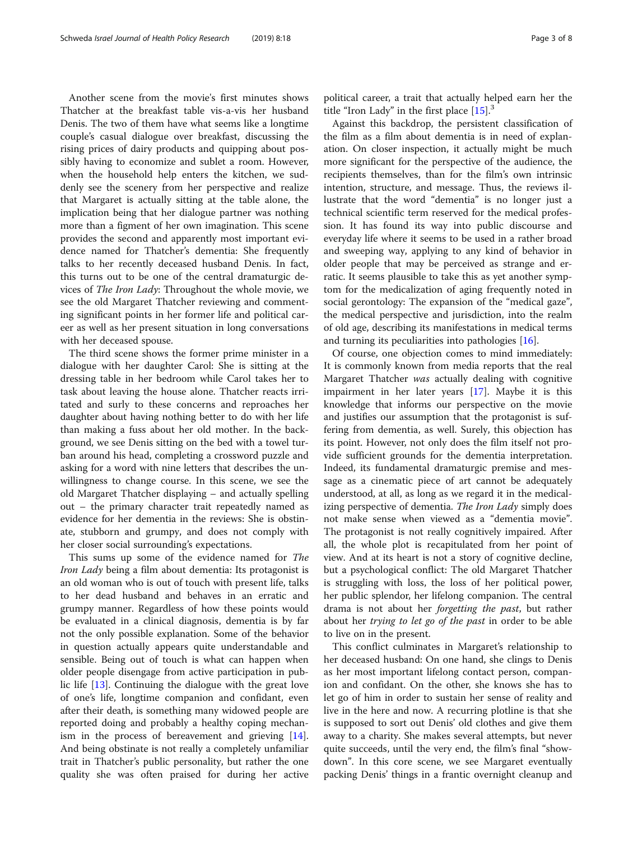Another scene from the movie's first minutes shows Thatcher at the breakfast table vis-a-vis her husband Denis. The two of them have what seems like a longtime couple's casual dialogue over breakfast, discussing the rising prices of dairy products and quipping about possibly having to economize and sublet a room. However, when the household help enters the kitchen, we suddenly see the scenery from her perspective and realize that Margaret is actually sitting at the table alone, the implication being that her dialogue partner was nothing more than a figment of her own imagination. This scene provides the second and apparently most important evidence named for Thatcher's dementia: She frequently talks to her recently deceased husband Denis. In fact, this turns out to be one of the central dramaturgic devices of The Iron Lady: Throughout the whole movie, we see the old Margaret Thatcher reviewing and commenting significant points in her former life and political career as well as her present situation in long conversations with her deceased spouse.

The third scene shows the former prime minister in a dialogue with her daughter Carol: She is sitting at the dressing table in her bedroom while Carol takes her to task about leaving the house alone. Thatcher reacts irritated and surly to these concerns and reproaches her daughter about having nothing better to do with her life than making a fuss about her old mother. In the background, we see Denis sitting on the bed with a towel turban around his head, completing a crossword puzzle and asking for a word with nine letters that describes the unwillingness to change course. In this scene, we see the old Margaret Thatcher displaying – and actually spelling out – the primary character trait repeatedly named as evidence for her dementia in the reviews: She is obstinate, stubborn and grumpy, and does not comply with her closer social surrounding's expectations.

This sums up some of the evidence named for The Iron Lady being a film about dementia: Its protagonist is an old woman who is out of touch with present life, talks to her dead husband and behaves in an erratic and grumpy manner. Regardless of how these points would be evaluated in a clinical diagnosis, dementia is by far not the only possible explanation. Some of the behavior in question actually appears quite understandable and sensible. Being out of touch is what can happen when older people disengage from active participation in public life [[13\]](#page-7-0). Continuing the dialogue with the great love of one's life, longtime companion and confidant, even after their death, is something many widowed people are reported doing and probably a healthy coping mechanism in the process of bereavement and grieving [\[14](#page-7-0)]. And being obstinate is not really a completely unfamiliar trait in Thatcher's public personality, but rather the one quality she was often praised for during her active

political career, a trait that actually helped earn her the title "Iron Lady" in the first place  $[15]$  $[15]$  $[15]$ .<sup>3</sup>

Against this backdrop, the persistent classification of the film as a film about dementia is in need of explanation. On closer inspection, it actually might be much more significant for the perspective of the audience, the recipients themselves, than for the film's own intrinsic intention, structure, and message. Thus, the reviews illustrate that the word "dementia" is no longer just a technical scientific term reserved for the medical profession. It has found its way into public discourse and everyday life where it seems to be used in a rather broad and sweeping way, applying to any kind of behavior in older people that may be perceived as strange and erratic. It seems plausible to take this as yet another symptom for the medicalization of aging frequently noted in social gerontology: The expansion of the "medical gaze", the medical perspective and jurisdiction, into the realm of old age, describing its manifestations in medical terms and turning its peculiarities into pathologies [\[16\]](#page-7-0).

Of course, one objection comes to mind immediately: It is commonly known from media reports that the real Margaret Thatcher was actually dealing with cognitive impairment in her later years [\[17](#page-7-0)]. Maybe it is this knowledge that informs our perspective on the movie and justifies our assumption that the protagonist is suffering from dementia, as well. Surely, this objection has its point. However, not only does the film itself not provide sufficient grounds for the dementia interpretation. Indeed, its fundamental dramaturgic premise and message as a cinematic piece of art cannot be adequately understood, at all, as long as we regard it in the medicalizing perspective of dementia. The Iron Lady simply does not make sense when viewed as a "dementia movie". The protagonist is not really cognitively impaired. After all, the whole plot is recapitulated from her point of view. And at its heart is not a story of cognitive decline, but a psychological conflict: The old Margaret Thatcher is struggling with loss, the loss of her political power, her public splendor, her lifelong companion. The central drama is not about her forgetting the past, but rather about her trying to let go of the past in order to be able to live on in the present.

This conflict culminates in Margaret's relationship to her deceased husband: On one hand, she clings to Denis as her most important lifelong contact person, companion and confidant. On the other, she knows she has to let go of him in order to sustain her sense of reality and live in the here and now. A recurring plotline is that she is supposed to sort out Denis' old clothes and give them away to a charity. She makes several attempts, but never quite succeeds, until the very end, the film's final "showdown". In this core scene, we see Margaret eventually packing Denis' things in a frantic overnight cleanup and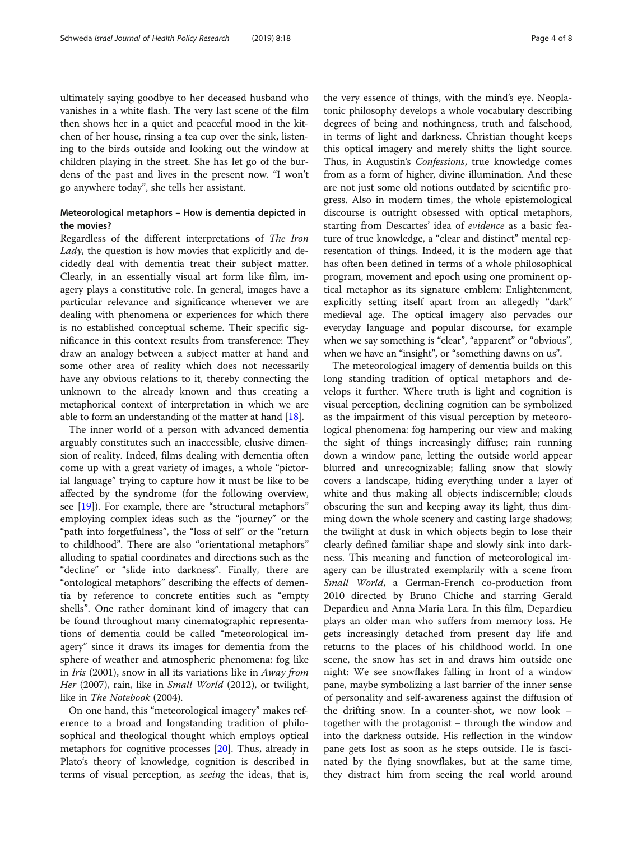ultimately saying goodbye to her deceased husband who vanishes in a white flash. The very last scene of the film then shows her in a quiet and peaceful mood in the kitchen of her house, rinsing a tea cup over the sink, listening to the birds outside and looking out the window at children playing in the street. She has let go of the burdens of the past and lives in the present now. "I won't go anywhere today", she tells her assistant.

# Meteorological metaphors – How is dementia depicted in the movies?

Regardless of the different interpretations of The Iron Lady, the question is how movies that explicitly and decidedly deal with dementia treat their subject matter. Clearly, in an essentially visual art form like film, imagery plays a constitutive role. In general, images have a particular relevance and significance whenever we are dealing with phenomena or experiences for which there is no established conceptual scheme. Their specific significance in this context results from transference: They draw an analogy between a subject matter at hand and some other area of reality which does not necessarily have any obvious relations to it, thereby connecting the unknown to the already known and thus creating a metaphorical context of interpretation in which we are able to form an understanding of the matter at hand [\[18\]](#page-7-0).

The inner world of a person with advanced dementia arguably constitutes such an inaccessible, elusive dimension of reality. Indeed, films dealing with dementia often come up with a great variety of images, a whole "pictorial language" trying to capture how it must be like to be affected by the syndrome (for the following overview, see [\[19](#page-7-0)]). For example, there are "structural metaphors" employing complex ideas such as the "journey" or the "path into forgetfulness", the "loss of self" or the "return to childhood". There are also "orientational metaphors" alluding to spatial coordinates and directions such as the "decline" or "slide into darkness". Finally, there are "ontological metaphors" describing the effects of dementia by reference to concrete entities such as "empty shells". One rather dominant kind of imagery that can be found throughout many cinematographic representations of dementia could be called "meteorological imagery" since it draws its images for dementia from the sphere of weather and atmospheric phenomena: fog like in Iris (2001), snow in all its variations like in Away from Her (2007), rain, like in Small World (2012), or twilight, like in The Notebook (2004).

On one hand, this "meteorological imagery" makes reference to a broad and longstanding tradition of philosophical and theological thought which employs optical metaphors for cognitive processes [\[20](#page-7-0)]. Thus, already in Plato's theory of knowledge, cognition is described in terms of visual perception, as seeing the ideas, that is,

the very essence of things, with the mind's eye. Neoplatonic philosophy develops a whole vocabulary describing degrees of being and nothingness, truth and falsehood, in terms of light and darkness. Christian thought keeps this optical imagery and merely shifts the light source. Thus, in Augustin's Confessions, true knowledge comes from as a form of higher, divine illumination. And these are not just some old notions outdated by scientific progress. Also in modern times, the whole epistemological discourse is outright obsessed with optical metaphors, starting from Descartes' idea of evidence as a basic feature of true knowledge, a "clear and distinct" mental representation of things. Indeed, it is the modern age that has often been defined in terms of a whole philosophical program, movement and epoch using one prominent optical metaphor as its signature emblem: Enlightenment, explicitly setting itself apart from an allegedly "dark" medieval age. The optical imagery also pervades our everyday language and popular discourse, for example when we say something is "clear", "apparent" or "obvious", when we have an "insight", or "something dawns on us".

The meteorological imagery of dementia builds on this long standing tradition of optical metaphors and develops it further. Where truth is light and cognition is visual perception, declining cognition can be symbolized as the impairment of this visual perception by meteorological phenomena: fog hampering our view and making the sight of things increasingly diffuse; rain running down a window pane, letting the outside world appear blurred and unrecognizable; falling snow that slowly covers a landscape, hiding everything under a layer of white and thus making all objects indiscernible; clouds obscuring the sun and keeping away its light, thus dimming down the whole scenery and casting large shadows; the twilight at dusk in which objects begin to lose their clearly defined familiar shape and slowly sink into darkness. This meaning and function of meteorological imagery can be illustrated exemplarily with a scene from Small World, a German-French co-production from 2010 directed by Bruno Chiche and starring Gerald Depardieu and Anna Maria Lara. In this film, Depardieu plays an older man who suffers from memory loss. He gets increasingly detached from present day life and returns to the places of his childhood world. In one scene, the snow has set in and draws him outside one night: We see snowflakes falling in front of a window pane, maybe symbolizing a last barrier of the inner sense of personality and self-awareness against the diffusion of the drifting snow. In a counter-shot, we now look – together with the protagonist – through the window and into the darkness outside. His reflection in the window pane gets lost as soon as he steps outside. He is fascinated by the flying snowflakes, but at the same time, they distract him from seeing the real world around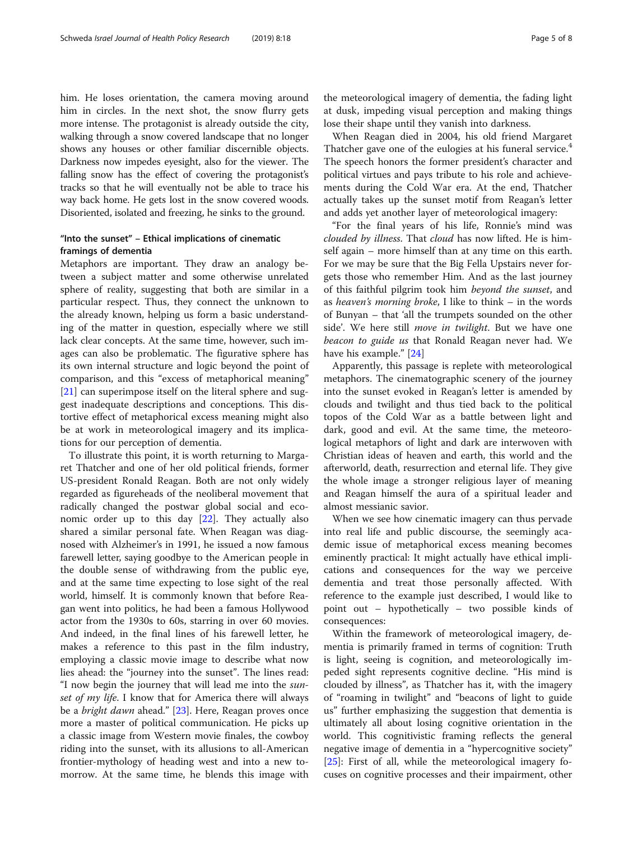him. He loses orientation, the camera moving around him in circles. In the next shot, the snow flurry gets more intense. The protagonist is already outside the city, walking through a snow covered landscape that no longer shows any houses or other familiar discernible objects. Darkness now impedes eyesight, also for the viewer. The falling snow has the effect of covering the protagonist's tracks so that he will eventually not be able to trace his way back home. He gets lost in the snow covered woods. Disoriented, isolated and freezing, he sinks to the ground.

## "Into the sunset" – Ethical implications of cinematic framings of dementia

Metaphors are important. They draw an analogy between a subject matter and some otherwise unrelated sphere of reality, suggesting that both are similar in a particular respect. Thus, they connect the unknown to the already known, helping us form a basic understanding of the matter in question, especially where we still lack clear concepts. At the same time, however, such images can also be problematic. The figurative sphere has its own internal structure and logic beyond the point of comparison, and this "excess of metaphorical meaning" [[21\]](#page-7-0) can superimpose itself on the literal sphere and suggest inadequate descriptions and conceptions. This distortive effect of metaphorical excess meaning might also be at work in meteorological imagery and its implications for our perception of dementia.

To illustrate this point, it is worth returning to Margaret Thatcher and one of her old political friends, former US-president Ronald Reagan. Both are not only widely regarded as figureheads of the neoliberal movement that radically changed the postwar global social and economic order up to this day [\[22](#page-7-0)]. They actually also shared a similar personal fate. When Reagan was diagnosed with Alzheimer's in 1991, he issued a now famous farewell letter, saying goodbye to the American people in the double sense of withdrawing from the public eye, and at the same time expecting to lose sight of the real world, himself. It is commonly known that before Reagan went into politics, he had been a famous Hollywood actor from the 1930s to 60s, starring in over 60 movies. And indeed, in the final lines of his farewell letter, he makes a reference to this past in the film industry, employing a classic movie image to describe what now lies ahead: the "journey into the sunset". The lines read: "I now begin the journey that will lead me into the sunset of my life. I know that for America there will always be a *bright dawn* ahead." [\[23](#page-7-0)]. Here, Reagan proves once more a master of political communication. He picks up a classic image from Western movie finales, the cowboy riding into the sunset, with its allusions to all-American frontier-mythology of heading west and into a new tomorrow. At the same time, he blends this image with

the meteorological imagery of dementia, the fading light at dusk, impeding visual perception and making things lose their shape until they vanish into darkness.

When Reagan died in 2004, his old friend Margaret Thatcher gave one of the eulogies at his funeral service.<sup>4</sup> The speech honors the former president's character and political virtues and pays tribute to his role and achievements during the Cold War era. At the end, Thatcher actually takes up the sunset motif from Reagan's letter and adds yet another layer of meteorological imagery:

"For the final years of his life, Ronnie's mind was clouded by illness. That cloud has now lifted. He is himself again – more himself than at any time on this earth. For we may be sure that the Big Fella Upstairs never forgets those who remember Him. And as the last journey of this faithful pilgrim took him beyond the sunset, and as heaven's morning broke, I like to think – in the words of Bunyan – that 'all the trumpets sounded on the other side'. We here still move in twilight. But we have one beacon to guide us that Ronald Reagan never had. We have his example." [[24](#page-7-0)]

Apparently, this passage is replete with meteorological metaphors. The cinematographic scenery of the journey into the sunset evoked in Reagan's letter is amended by clouds and twilight and thus tied back to the political topos of the Cold War as a battle between light and dark, good and evil. At the same time, the meteorological metaphors of light and dark are interwoven with Christian ideas of heaven and earth, this world and the afterworld, death, resurrection and eternal life. They give the whole image a stronger religious layer of meaning and Reagan himself the aura of a spiritual leader and almost messianic savior.

When we see how cinematic imagery can thus pervade into real life and public discourse, the seemingly academic issue of metaphorical excess meaning becomes eminently practical: It might actually have ethical implications and consequences for the way we perceive dementia and treat those personally affected. With reference to the example just described, I would like to point out – hypothetically – two possible kinds of consequences:

Within the framework of meteorological imagery, dementia is primarily framed in terms of cognition: Truth is light, seeing is cognition, and meteorologically impeded sight represents cognitive decline. "His mind is clouded by illness", as Thatcher has it, with the imagery of "roaming in twilight" and "beacons of light to guide us" further emphasizing the suggestion that dementia is ultimately all about losing cognitive orientation in the world. This cognitivistic framing reflects the general negative image of dementia in a "hypercognitive society" [[25\]](#page-7-0): First of all, while the meteorological imagery focuses on cognitive processes and their impairment, other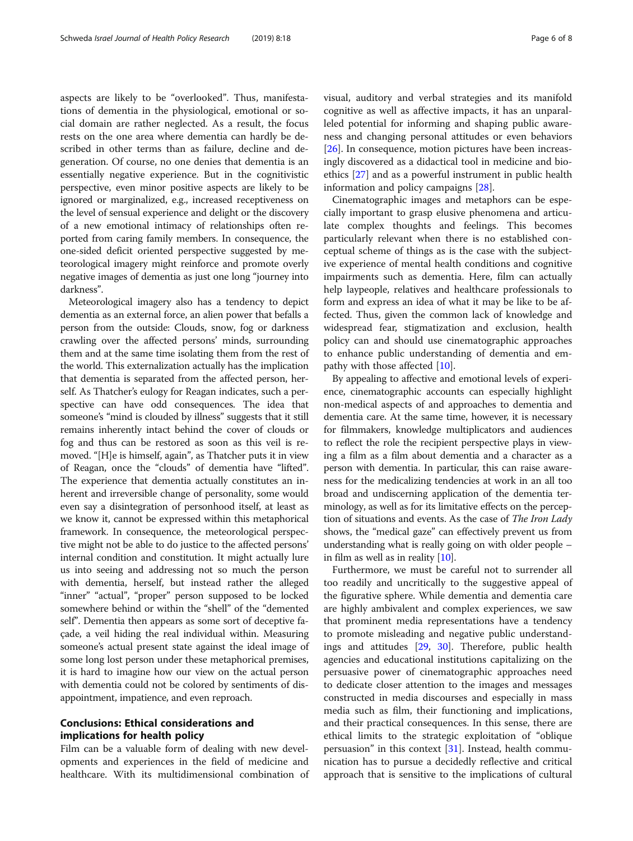aspects are likely to be "overlooked". Thus, manifestations of dementia in the physiological, emotional or social domain are rather neglected. As a result, the focus rests on the one area where dementia can hardly be described in other terms than as failure, decline and degeneration. Of course, no one denies that dementia is an essentially negative experience. But in the cognitivistic perspective, even minor positive aspects are likely to be ignored or marginalized, e.g., increased receptiveness on the level of sensual experience and delight or the discovery of a new emotional intimacy of relationships often reported from caring family members. In consequence, the one-sided deficit oriented perspective suggested by meteorological imagery might reinforce and promote overly negative images of dementia as just one long "journey into darkness".

Meteorological imagery also has a tendency to depict dementia as an external force, an alien power that befalls a person from the outside: Clouds, snow, fog or darkness crawling over the affected persons' minds, surrounding them and at the same time isolating them from the rest of the world. This externalization actually has the implication that dementia is separated from the affected person, herself. As Thatcher's eulogy for Reagan indicates, such a perspective can have odd consequences. The idea that someone's "mind is clouded by illness" suggests that it still remains inherently intact behind the cover of clouds or fog and thus can be restored as soon as this veil is removed. "[H]e is himself, again", as Thatcher puts it in view of Reagan, once the "clouds" of dementia have "lifted". The experience that dementia actually constitutes an inherent and irreversible change of personality, some would even say a disintegration of personhood itself, at least as we know it, cannot be expressed within this metaphorical framework. In consequence, the meteorological perspective might not be able to do justice to the affected persons' internal condition and constitution. It might actually lure us into seeing and addressing not so much the person with dementia, herself, but instead rather the alleged "inner" "actual", "proper" person supposed to be locked somewhere behind or within the "shell" of the "demented self". Dementia then appears as some sort of deceptive façade, a veil hiding the real individual within. Measuring someone's actual present state against the ideal image of some long lost person under these metaphorical premises, it is hard to imagine how our view on the actual person with dementia could not be colored by sentiments of disappointment, impatience, and even reproach.

# Conclusions: Ethical considerations and implications for health policy

Film can be a valuable form of dealing with new developments and experiences in the field of medicine and healthcare. With its multidimensional combination of visual, auditory and verbal strategies and its manifold cognitive as well as affective impacts, it has an unparalleled potential for informing and shaping public awareness and changing personal attitudes or even behaviors [[26\]](#page-7-0). In consequence, motion pictures have been increasingly discovered as a didactical tool in medicine and bioethics [\[27](#page-7-0)] and as a powerful instrument in public health information and policy campaigns [\[28](#page-7-0)].

Cinematographic images and metaphors can be especially important to grasp elusive phenomena and articulate complex thoughts and feelings. This becomes particularly relevant when there is no established conceptual scheme of things as is the case with the subjective experience of mental health conditions and cognitive impairments such as dementia. Here, film can actually help laypeople, relatives and healthcare professionals to form and express an idea of what it may be like to be affected. Thus, given the common lack of knowledge and widespread fear, stigmatization and exclusion, health policy can and should use cinematographic approaches to enhance public understanding of dementia and empathy with those affected [[10](#page-7-0)].

By appealing to affective and emotional levels of experience, cinematographic accounts can especially highlight non-medical aspects of and approaches to dementia and dementia care. At the same time, however, it is necessary for filmmakers, knowledge multiplicators and audiences to reflect the role the recipient perspective plays in viewing a film as a film about dementia and a character as a person with dementia. In particular, this can raise awareness for the medicalizing tendencies at work in an all too broad and undiscerning application of the dementia terminology, as well as for its limitative effects on the perception of situations and events. As the case of The Iron Lady shows, the "medical gaze" can effectively prevent us from understanding what is really going on with older people – in film as well as in reality [\[10](#page-7-0)].

Furthermore, we must be careful not to surrender all too readily and uncritically to the suggestive appeal of the figurative sphere. While dementia and dementia care are highly ambivalent and complex experiences, we saw that prominent media representations have a tendency to promote misleading and negative public understandings and attitudes [[29](#page-7-0), [30\]](#page-7-0). Therefore, public health agencies and educational institutions capitalizing on the persuasive power of cinematographic approaches need to dedicate closer attention to the images and messages constructed in media discourses and especially in mass media such as film, their functioning and implications, and their practical consequences. In this sense, there are ethical limits to the strategic exploitation of "oblique persuasion" in this context  $[31]$  $[31]$ . Instead, health communication has to pursue a decidedly reflective and critical approach that is sensitive to the implications of cultural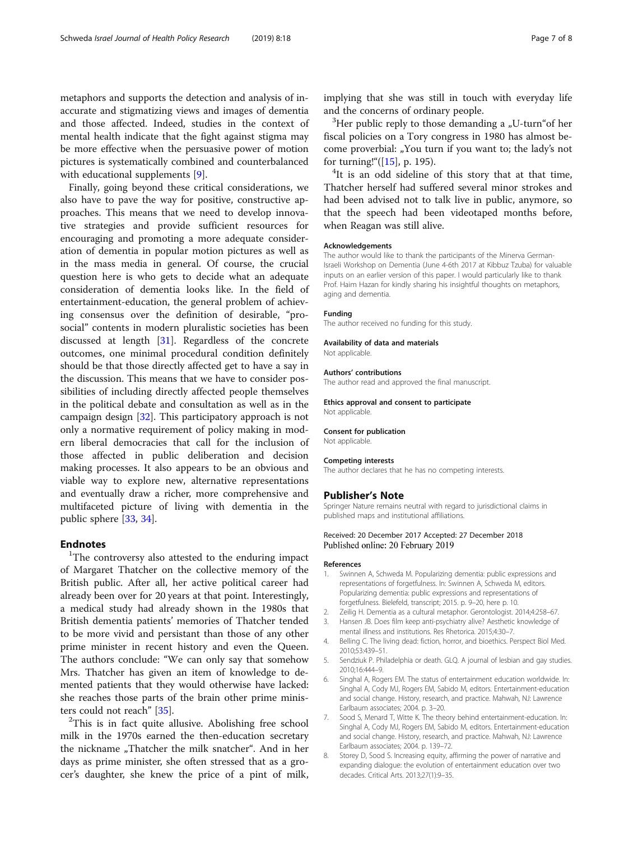<span id="page-6-0"></span>metaphors and supports the detection and analysis of inaccurate and stigmatizing views and images of dementia and those affected. Indeed, studies in the context of mental health indicate that the fight against stigma may be more effective when the persuasive power of motion pictures is systematically combined and counterbalanced with educational supplements [\[9\]](#page-7-0).

Finally, going beyond these critical considerations, we also have to pave the way for positive, constructive approaches. This means that we need to develop innovative strategies and provide sufficient resources for encouraging and promoting a more adequate consideration of dementia in popular motion pictures as well as in the mass media in general. Of course, the crucial question here is who gets to decide what an adequate consideration of dementia looks like. In the field of entertainment-education, the general problem of achieving consensus over the definition of desirable, "prosocial" contents in modern pluralistic societies has been discussed at length [[31\]](#page-7-0). Regardless of the concrete outcomes, one minimal procedural condition definitely should be that those directly affected get to have a say in the discussion. This means that we have to consider possibilities of including directly affected people themselves in the political debate and consultation as well as in the campaign design [[32](#page-7-0)]. This participatory approach is not only a normative requirement of policy making in modern liberal democracies that call for the inclusion of those affected in public deliberation and decision making processes. It also appears to be an obvious and viable way to explore new, alternative representations and eventually draw a richer, more comprehensive and multifaceted picture of living with dementia in the public sphere [[33,](#page-7-0) [34](#page-7-0)].

## **Endnotes**

<sup>1</sup>The controversy also attested to the enduring impact of Margaret Thatcher on the collective memory of the British public. After all, her active political career had already been over for 20 years at that point. Interestingly, a medical study had already shown in the 1980s that British dementia patients' memories of Thatcher tended to be more vivid and persistant than those of any other prime minister in recent history and even the Queen. The authors conclude: "We can only say that somehow Mrs. Thatcher has given an item of knowledge to demented patients that they would otherwise have lacked: she reaches those parts of the brain other prime minis-ters could not reach" [[35\]](#page-7-0).

<sup>2</sup>This is in fact quite allusive. Abolishing free school milk in the 1970s earned the then-education secretary the nickname "Thatcher the milk snatcher". And in her days as prime minister, she often stressed that as a grocer's daughter, she knew the price of a pint of milk,

implying that she was still in touch with everyday life and the concerns of ordinary people.

 ${}^{3}$ Her public reply to those demanding a "U-turn" of her fiscal policies on a Tory congress in 1980 has almost become proverbial: "You turn if you want to; the lady's not for turning!" $([15]$  $([15]$ , p. 195).

 ${}^{4}$ It is an odd sideline of this story that at that time, Thatcher herself had suffered several minor strokes and had been advised not to talk live in public, anymore, so that the speech had been videotaped months before, when Reagan was still alive.

#### Acknowledgements

The author would like to thank the participants of the Minerva German-Israeli Workshop on Dementia (June 4-6th 2017 at Kibbuz Tzuba) for valuable inputs on an earlier version of this paper. I would particularly like to thank Prof. Haim Hazan for kindly sharing his insightful thoughts on metaphors, aging and dementia.

## Funding

The author received no funding for this study.

#### Availability of data and materials

Not applicable

#### Authors' contributions

The author read and approved the final manuscript.

## Ethics approval and consent to participate

Not applicable.

#### Consent for publication

Not applicable.

#### Competing interests

The author declares that he has no competing interests.

## Publisher's Note

Springer Nature remains neutral with regard to jurisdictional claims in published maps and institutional affiliations.

## Received: 20 December 2017 Accepted: 27 December 2018 Published online: 20 February 2019

#### References

- 1. Swinnen A, Schweda M. Popularizing dementia: public expressions and representations of forgetfulness. In: Swinnen A, Schweda M, editors. Popularizing dementia: public expressions and representations of forgetfulness. Bielefeld, transcript; 2015. p. 9–20, here p. 10.
- 2. Zeilig H. Dementia as a cultural metaphor. Gerontologist. 2014;4:258–67.
- 3. Hansen JB. Does film keep anti-psychiatry alive? Aesthetic knowledge of mental illness and institutions. Res Rhetorica. 2015;4:30–7.
- 4. Belling C. The living dead: fiction, horror, and bioethics. Perspect Biol Med. 2010;53:439–51.
- 5. Sendziuk P. Philadelphia or death. GLQ. A journal of lesbian and gay studies. 2010;16:444–9.
- 6. Singhal A, Rogers EM. The status of entertainment education worldwide. In: Singhal A, Cody MJ, Rogers EM, Sabido M, editors. Entertainment-education and social change. History, research, and practice. Mahwah, NJ: Lawrence Earlbaum associates; 2004. p. 3–20.
- 7. Sood S, Menard T, Witte K. The theory behind entertainment-education. In: Singhal A, Cody MJ, Rogers EM, Sabido M, editors. Entertainment-education and social change. History, research, and practice. Mahwah, NJ: Lawrence Earlbaum associates; 2004. p. 139–72.
- 8. Storey D, Sood S. Increasing equity, affirming the power of narrative and expanding dialogue: the evolution of entertainment education over two decades. Critical Arts. 2013;27(1):9–35.